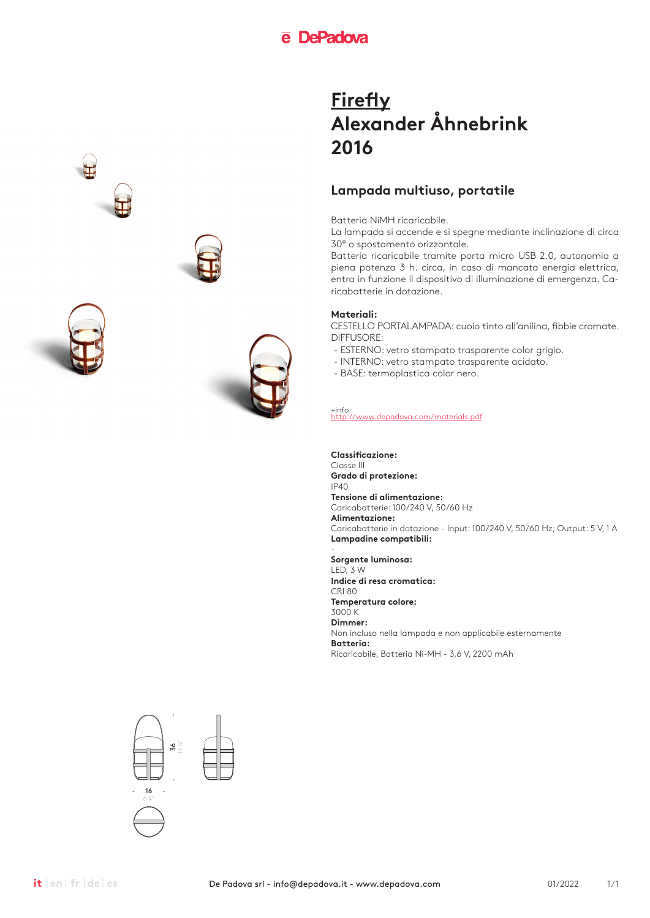### **Lampada multiuso, portatile**

Batteria NiMH ricaricabile.

La lampada si accende e si spegne mediante inclinazione di circa 30° o spostamento orizzontale.

Batteria ricaricabile tramite porta micro USB 2.0, autonomia a piena potenza 3 h. circa, in caso di mancata energia elettrica, entra in funzione il dispositivo di illuminazione di emergenza. Caricabatterie in dotazione.

### **Materiali:**

CESTELLO PORTALAMPADA: cuoio tinto all'anilina, fibbie cromate. DIFFUSORE:

- ESTERNO: vetro stampato trasparente color grigio.
- INTERNO: vetro stampato trasparente acidato.
- BASE: termoplastica color nero.

+info: http://www.depadova.com/materials.pdf

**Classificazione:**

Classe III **Grado di protezione:** IP40 **Tensione di alimentazione:** Caricabatterie: 100/240 V, 50/60 Hz **Alimentazione:** Caricabatterie in dotazione - Input: 100/240 V, 50/60 Hz; Output: 5 V, 1 A **Lampadine compatibili:**

- **Sorgente luminosa:** LED, 3 W **Indice di resa cromatica:** CRI 80 **Temperatura colore:** 3000 K **Dimmer:** Non incluso nella lampada e non applicabile esternamente **Batteria:** Ricaricabile, Batteria Ni-MH - 3,6 V, 2200 mAh



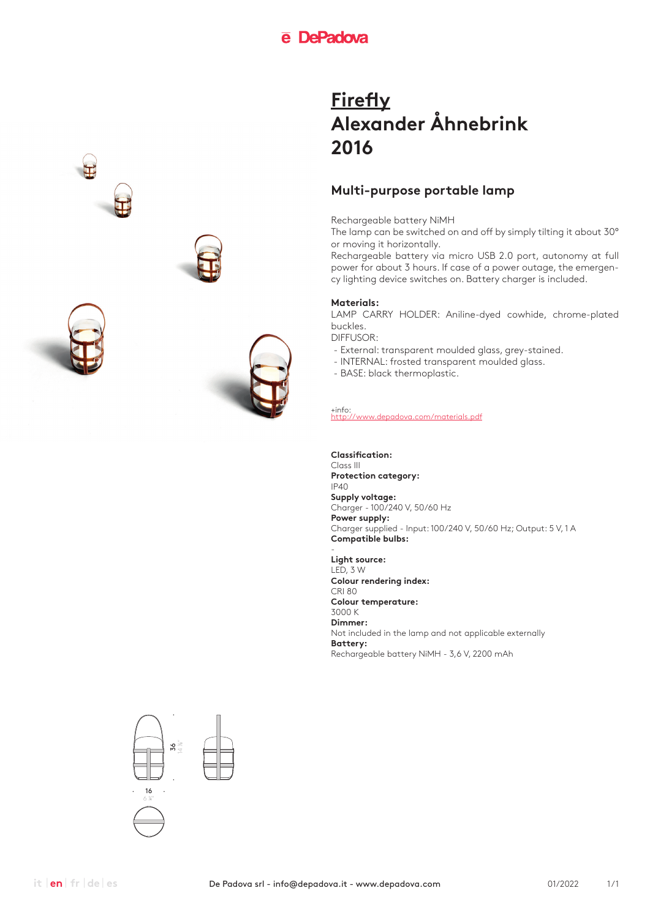### **Multi-purpose portable lamp**

Rechargeable battery NiMH

The lamp can be switched on and off by simply tilting it about 30° or moving it horizontally.

Rechargeable battery via micro USB 2.0 port, autonomy at full power for about 3 hours. If case of a power outage, the emergency lighting device switches on. Battery charger is included.

### **Materials:**

LAMP CARRY HOLDER: Aniline-dyed cowhide, chrome-plated buckles.

DIFFUSOR:

- External: transparent moulded glass, grey-stained.
- INTERNAL: frosted transparent moulded glass.
- BASE: black thermoplastic.

+info: http://www.depadova.com/materials.pdf

**Classification:** Class III **Protection category:** IP40 **Supply voltage:** Charger - 100/240 V, 50/60 Hz **Power supply:** Charger supplied - Input: 100/240 V, 50/60 Hz; Output: 5 V, 1 A **Compatible bulbs:**

- **Light source:**  $LED.3 W$ **Colour rendering index:** CRI 80 **Colour temperature:** 3000 K **Dimmer:** Not included in the lamp and not applicable externally **Battery:** Rechargeable battery NiMH - 3,6 V, 2200 mAh





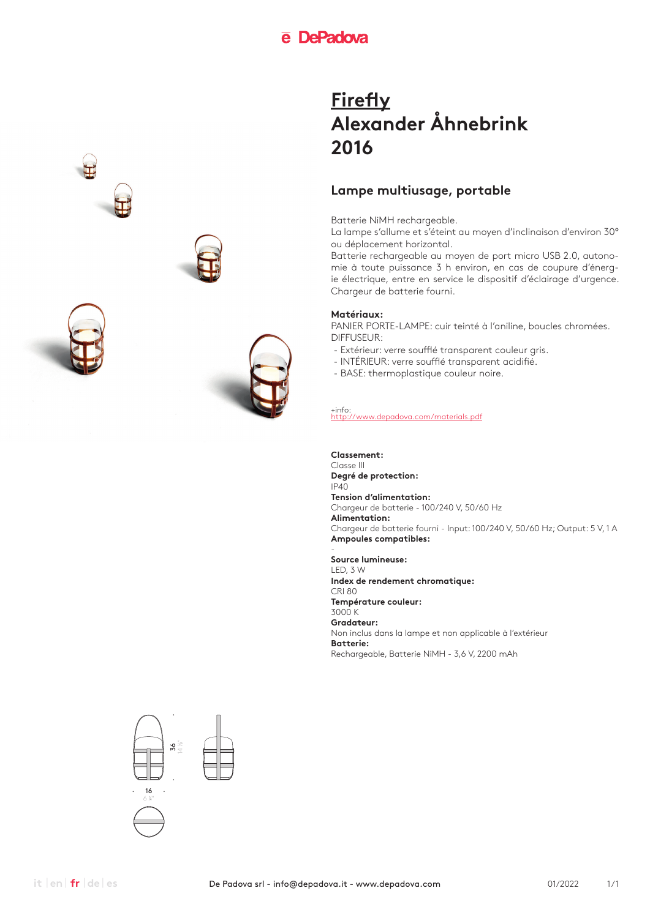### **Lampe multiusage, portable**

Batterie NiMH rechargeable.

La lampe s'allume et s'éteint au moyen d'inclinaison d'environ 30° ou déplacement horizontal.

Batterie rechargeable au moyen de port micro USB 2.0, autonomie à toute puissance 3 h environ, en cas de coupure d'énergie électrique, entre en service le dispositif d'éclairage d'urgence. Chargeur de batterie fourni.

### **Matériaux:**

PANIER PORTE-LAMPE: cuir teinté à l'aniline, boucles chromées. DIFFUSEUR:

- Extérieur: verre soufflé transparent couleur gris.
- INTÉRIEUR: verre soufflé transparent acidifié.
- BASE: thermoplastique couleur noire.

+info: http://www.depadova.com/materials.pdf

#### **Classement:**

Classe III **Degré de protection:**  $IP40$ **Tension d'alimentation:** Chargeur de batterie - 100/240 V, 50/60 Hz **Alimentation:** Chargeur de batterie fourni - Input: 100/240 V, 50/60 Hz; Output: 5 V, 1 A **Ampoules compatibles:**

- **Source lumineuse:** LED, 3 W **Index de rendement chromatique:** CRI 80 **Température couleur:** 3000 K **Gradateur:** Non inclus dans la lampe et non applicable à l'extérieur **Batterie:** Rechargeable, Batterie NiMH - 3,6 V, 2200 mAh



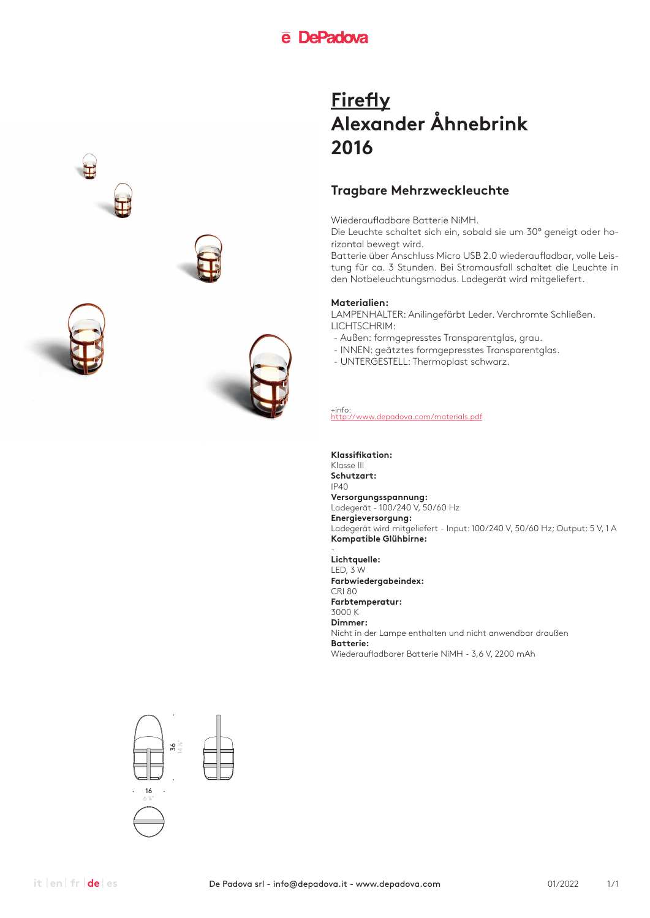## **Tragbare Mehrzweckleuchte**

Wiederaufladbare Batterie NiMH.

Die Leuchte schaltet sich ein, sobald sie um 30° geneigt oder horizontal bewegt wird.

Batterie über Anschluss Micro USB 2.0 wiederaufladbar, volle Leistung für ca. 3 Stunden. Bei Stromausfall schaltet die Leuchte in den Notbeleuchtungsmodus. Ladegerät wird mitgeliefert.

### **Materialien:**

LAMPENHALTER: Anilingefärbt Leder. Verchromte Schließen. LICHTSCHRIM:

- Außen: formgepresstes Transparentglas, grau.
- INNEN: geätztes formgepresstes Transparentglas.
- UNTERGESTELL: Thermoplast schwarz.

+info: http://www.depadova.com/materials.pdf

#### **Klassifikation:**

Klasse III **Schutzart:** IP40 **Versorgungsspannung:** Ladegerät - 100/240 V, 50/60 Hz **Energieversorgung:** Ladegerät wird mitgeliefert - Input: 100/240 V, 50/60 Hz; Output: 5 V, 1 A **Kompatible Glühbirne:**

- **Lichtquelle:** LED, 3 W **Farbwiedergabeindex:** CRI 80 **Farbtemperatur:** 3000 K **Dimmer:** Nicht in der Lampe enthalten und nicht anwendbar draußen **Batterie:** Wiederaufladbarer Batterie NiMH - 3,6 V, 2200 mAh